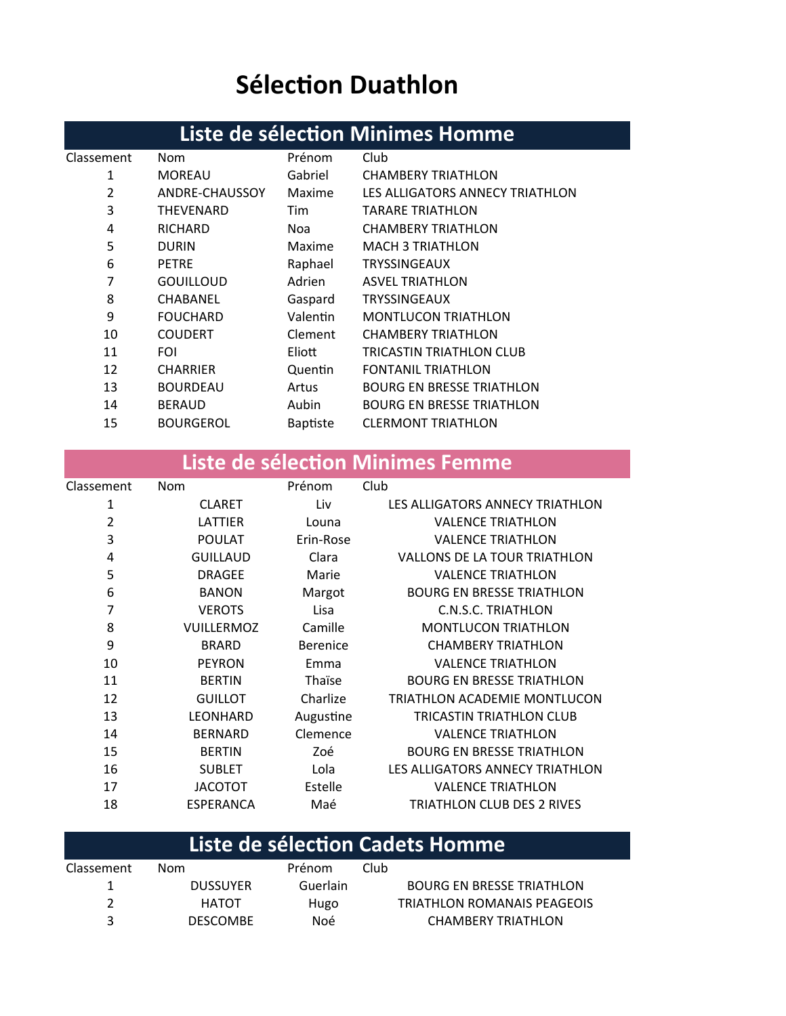# **Sélection Duathlon**

## Liste de sélection Minimes Homme

| Classement | Nom              | Prénom          | Club                             |
|------------|------------------|-----------------|----------------------------------|
| 1          | <b>MOREAU</b>    | Gabriel         | <b>CHAMBERY TRIATHLON</b>        |
| 2          | ANDRE-CHAUSSOY   | Maxime          | LES ALLIGATORS ANNECY TRIATHLON  |
| 3          | THEVENARD        | Tim             | TARARE TRIATHLON                 |
| 4          | <b>RICHARD</b>   | Noa             | <b>CHAMBERY TRIATHLON</b>        |
| 5          | <b>DURIN</b>     | Maxime          | <b>MACH 3 TRIATHLON</b>          |
| 6          | <b>PETRE</b>     | Raphael         | <b>TRYSSINGEAUX</b>              |
| 7          | <b>GOUILLOUD</b> | Adrien          | <b>ASVEL TRIATHLON</b>           |
| 8          | CHABANEL         | Gaspard         | <b>TRYSSINGEAUX</b>              |
| 9          | <b>FOUCHARD</b>  | Valentin        | <b>MONTLUCON TRIATHLON</b>       |
| 10         | <b>COUDERT</b>   | Clement         | <b>CHAMBERY TRIATHLON</b>        |
| 11         | <b>FOI</b>       | Eliott          | TRICASTIN TRIATHLON CLUB         |
| 12         | <b>CHARRIER</b>  | Quentin         | <b>FONTANIL TRIATHLON</b>        |
| 13         | <b>BOURDEAU</b>  | Artus           | <b>BOURG EN BRESSE TRIATHLON</b> |
| 14         | <b>BERAUD</b>    | Aubin           | <b>BOURG EN BRESSE TRIATHLON</b> |
| 15         | <b>BOURGEROL</b> | <b>Baptiste</b> | <b>CLERMONT TRIATHLON</b>        |
|            |                  |                 |                                  |

### Liste de sélection Minimes Femme

| Classement     | Nom               | Prénom          | Club                                |
|----------------|-------------------|-----------------|-------------------------------------|
| 1              | <b>CLARET</b>     | Liv             | LES ALLIGATORS ANNECY TRIATHLON     |
| $\overline{2}$ | LATTIER           | Louna           | <b>VALENCE TRIATHLON</b>            |
| 3              | <b>POULAT</b>     | Erin-Rose       | <b>VALENCE TRIATHLON</b>            |
| 4              | <b>GUILLAUD</b>   | Clara           | <b>VALLONS DE LA TOUR TRIATHLON</b> |
| 5              | <b>DRAGEE</b>     | Marie           | <b>VALENCE TRIATHLON</b>            |
| 6              | <b>BANON</b>      | Margot          | <b>BOURG EN BRESSE TRIATHLON</b>    |
| 7              | <b>VEROTS</b>     | Lisa            | <b>C.N.S.C. TRIATHLON</b>           |
| 8              | <b>VUILLERMOZ</b> | Camille         | <b>MONTLUCON TRIATHLON</b>          |
| 9              | <b>BRARD</b>      | <b>Berenice</b> | <b>CHAMBERY TRIATHLON</b>           |
| 10             | <b>PEYRON</b>     | Emma            | <b>VALENCE TRIATHLON</b>            |
| 11             | <b>BERTIN</b>     | Thaïse          | <b>BOURG EN BRESSE TRIATHLON</b>    |
| 12             | <b>GUILLOT</b>    | Charlize        | TRIATHLON ACADEMIE MONTLUCON        |
| 13             | LEONHARD          | Augustine       | TRICASTIN TRIATHLON CLUB            |
| 14             | <b>BERNARD</b>    | Clemence        | <b>VALENCE TRIATHLON</b>            |
| 15             | <b>BERTIN</b>     | Zoé             | <b>BOURG EN BRESSE TRIATHLON</b>    |
| 16             | <b>SUBLET</b>     | Lola            | LES ALLIGATORS ANNECY TRIATHLON     |
| 17             | <b>JACOTOT</b>    | Estelle         | <b>VALENCE TRIATHLON</b>            |
| 18             | <b>ESPERANCA</b>  | Maé             | TRIATHLON CLUB DES 2 RIVES          |

## Liste de sélection Cadets Homme

| Classement | Nom.            | Prénom   | Club                               |
|------------|-----------------|----------|------------------------------------|
|            | <b>DUSSUYER</b> | Guerlain | <b>BOURG EN BRESSE TRIATHLON</b>   |
|            | HATOT           | Hugo     | <b>TRIATHLON ROMANAIS PEAGEOIS</b> |
| 3          | <b>DESCOMBE</b> | Noé      | CHAMBERY TRIATHLON                 |
|            |                 |          |                                    |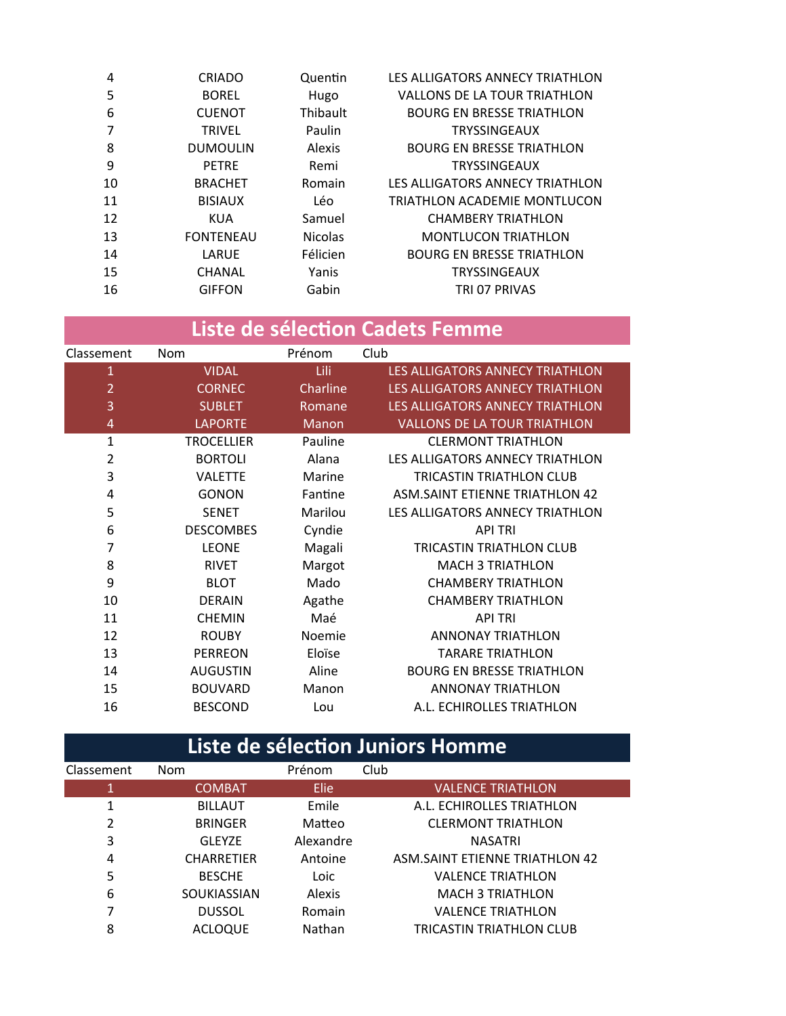| 4  | <b>CRIADO</b>    | Quentin        | LES ALLIGATORS ANNECY TRIATHLON     |
|----|------------------|----------------|-------------------------------------|
| 5  | <b>BOREL</b>     | Hugo           | <b>VALLONS DE LA TOUR TRIATHLON</b> |
| 6  | <b>CUENOT</b>    | Thibault       | <b>BOURG EN BRESSE TRIATHLON</b>    |
|    | <b>TRIVEL</b>    | Paulin         | <b>TRYSSINGEAUX</b>                 |
| 8  | <b>DUMOULIN</b>  | <b>Alexis</b>  | <b>BOURG EN BRESSE TRIATHLON</b>    |
| 9  | <b>PETRE</b>     | Remi           | <b>TRYSSINGEAUX</b>                 |
| 10 | <b>BRACHET</b>   | Romain         | LES ALLIGATORS ANNECY TRIATHLON     |
| 11 | <b>BISIAUX</b>   | Léo            | TRIATHLON ACADEMIE MONTLUCON        |
| 12 | <b>KUA</b>       | Samuel         | <b>CHAMBERY TRIATHLON</b>           |
| 13 | <b>FONTENEAU</b> | <b>Nicolas</b> | <b>MONTLUCON TRIATHLON</b>          |
| 14 | LARUE            | Félicien       | <b>BOURG EN BRESSE TRIATHLON</b>    |
| 15 | <b>CHANAL</b>    | Yanis          | <b>TRYSSINGEAUX</b>                 |
| 16 | <b>GIFFON</b>    | Gabin          | TRI 07 PRIVAS                       |
|    |                  |                |                                     |

## Liste de sélection Cadets Femme

| Classement     | Nom               | Prénom   | Club                                  |
|----------------|-------------------|----------|---------------------------------------|
| $\mathbf{1}$   | <b>VIDAL</b>      | Lili     | LES ALLIGATORS ANNECY TRIATHLON       |
| $\overline{2}$ | <b>CORNEC</b>     | Charline | LES ALLIGATORS ANNECY TRIATHLON       |
| 3              | <b>SUBLET</b>     | Romane   | LES ALLIGATORS ANNECY TRIATHLON       |
| $\overline{4}$ | <b>LAPORTE</b>    | Manon    | <b>VALLONS DE LA TOUR TRIATHLON</b>   |
| 1              | <b>TROCELLIER</b> | Pauline  | <b>CLERMONT TRIATHLON</b>             |
| 2              | <b>BORTOLI</b>    | Alana    | LES ALLIGATORS ANNECY TRIATHLON       |
| 3              | <b>VALETTE</b>    | Marine   | <b>TRICASTIN TRIATHLON CLUB</b>       |
| 4              | <b>GONON</b>      | Fantine  | <b>ASM.SAINT ETIENNE TRIATHLON 42</b> |
| 5              | <b>SENET</b>      | Marilou  | LES ALLIGATORS ANNECY TRIATHLON       |
| 6              | <b>DESCOMBES</b>  | Cyndie   | <b>API TRI</b>                        |
| 7              | <b>LEONE</b>      | Magali   | TRICASTIN TRIATHLON CLUB              |
| 8              | <b>RIVET</b>      | Margot   | <b>MACH 3 TRIATHLON</b>               |
| 9              | <b>BLOT</b>       | Mado     | <b>CHAMBERY TRIATHLON</b>             |
| 10             | <b>DERAIN</b>     | Agathe   | <b>CHAMBERY TRIATHLON</b>             |
| 11             | <b>CHEMIN</b>     | Maé      | <b>API TRI</b>                        |
| 12             | <b>ROUBY</b>      | Noemie   | <b>ANNONAY TRIATHLON</b>              |
| 13             | <b>PERREON</b>    | Eloïse   | <b>TARARE TRIATHLON</b>               |
| 14             | <b>AUGUSTIN</b>   | Aline    | <b>BOURG EN BRESSE TRIATHLON</b>      |
| 15             | <b>BOUVARD</b>    | Manon    | <b>ANNONAY TRIATHLON</b>              |
| 16             | <b>BESCOND</b>    | Lou      | A.L. ECHIROLLES TRIATHLON             |
|                |                   |          |                                       |

| Liste de sélection Juniors Homme |                    |             |                                       |  |
|----------------------------------|--------------------|-------------|---------------------------------------|--|
| Classement                       | <b>Nom</b>         | Prénom      | Club                                  |  |
| 1                                | <b>COMBAT</b>      | <b>Elie</b> | <b>VALENCE TRIATHLON</b>              |  |
| 1                                | <b>BILLAUT</b>     | Emile       | A.L. ECHIROLLES TRIATHLON             |  |
| 2                                | <b>BRINGER</b>     | Matteo      | <b>CLERMONT TRIATHLON</b>             |  |
| 3                                | GLEYZE             | Alexandre   | <b>NASATRI</b>                        |  |
| 4                                | <b>CHARRETIER</b>  | Antoine     | <b>ASM.SAINT ETIENNE TRIATHLON 42</b> |  |
| 5                                | <b>BESCHE</b>      | Loic        | <b>VALENCE TRIATHLON</b>              |  |
| 6                                | <b>SOUKIASSIAN</b> | Alexis      | <b>MACH 3 TRIATHLON</b>               |  |
| 7                                | <b>DUSSOL</b>      | Romain      | <b>VALENCE TRIATHLON</b>              |  |
| 8                                | <b>ACLOQUE</b>     | Nathan      | TRICASTIN TRIATHLON CLUB              |  |